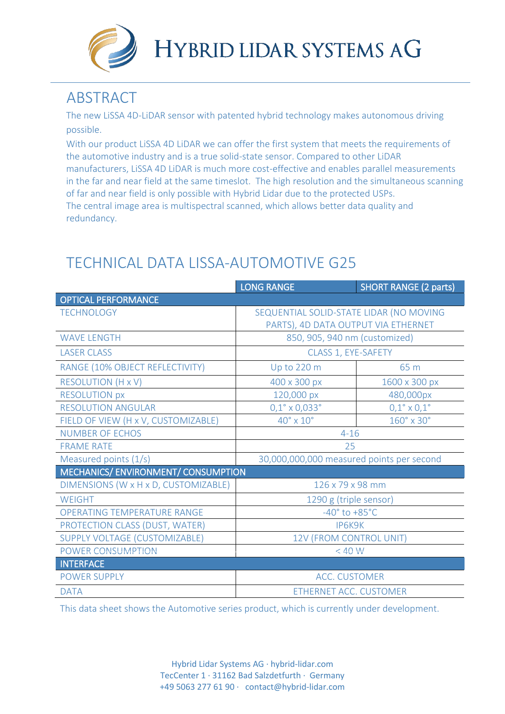

## **ABSTRACT**

The new LiSSA 4D-LiDAR sensor with patented hybrid technology makes autonomous driving possible.

With our product LiSSA 4D LiDAR we can offer the first system that meets the requirements of the automotive industry and is a true solid-state sensor. Compared to other LiDAR manufacturers, LiSSA 4D LiDAR is much more cost-effective and enables parallel measurements in the far and near field at the same timeslot. The high resolution and the simultaneous scanning of far and near field is only possible with Hybrid Lidar due to the protected USPs. The central image area is multispectral scanned, which allows better data quality and redundancy.

## TECHNICAL DATA LISSA-AUTOMOTIVE G25

|                                      | <b>LONG RANGE</b>                         | <b>SHORT RANGE (2 parts)</b>     |
|--------------------------------------|-------------------------------------------|----------------------------------|
| <b>OPTICAL PERFORMANCE</b>           |                                           |                                  |
| <b>TECHNOLOGY</b>                    | SEQUENTIAL SOLID-STATE LIDAR (NO MOVING   |                                  |
|                                      | PARTS), 4D DATA OUTPUT VIA ETHERNET       |                                  |
| <b>WAVE LENGTH</b>                   | 850, 905, 940 nm (customized)             |                                  |
| <b>LASER CLASS</b>                   | CLASS 1, EYE-SAFETY                       |                                  |
| RANGE (10% OBJECT REFLECTIVITY)      | Up to 220 m                               | 65 m                             |
| <b>RESOLUTION (H x V)</b>            | 400 x 300 px                              | 1600 x 300 px                    |
| <b>RESOLUTION px</b>                 | 120,000 px                                | 480,000px                        |
| <b>RESOLUTION ANGULAR</b>            | $0,1^{\circ} \times 0,033^{\circ}$        | $0,1^{\circ} \times 0,1^{\circ}$ |
| FIELD OF VIEW (H x V, CUSTOMIZABLE)  | $40^\circ \times 10^\circ$                | $160^\circ \times 30^\circ$      |
| <b>NUMBER OF ECHOS</b>               | $4 - 16$                                  |                                  |
| <b>FRAME RATE</b>                    | 25                                        |                                  |
| Measured points (1/s)                | 30,000,000,000 measured points per second |                                  |
| MECHANICS/ENVIRONMENT/CONSUMPTION    |                                           |                                  |
| DIMENSIONS (W x H x D, CUSTOMIZABLE) | 126 x 79 x 98 mm                          |                                  |
| <b>WEIGHT</b>                        | 1290 g (triple sensor)                    |                                  |
| <b>OPERATING TEMPERATURE RANGE</b>   | $-40^\circ$ to $+85^\circ$ C              |                                  |
| PROTECTION CLASS (DUST, WATER)       | IP6K9K                                    |                                  |
| SUPPLY VOLTAGE (CUSTOMIZABLE)        | 12V (FROM CONTROL UNIT)                   |                                  |
| POWER CONSUMPTION                    | $<$ 40 W                                  |                                  |
| <b>INTERFACE</b>                     |                                           |                                  |
| <b>POWER SUPPLY</b>                  | <b>ACC. CUSTOMER</b>                      |                                  |
| <b>DATA</b>                          | ETHERNET ACC. CUSTOMER                    |                                  |

This data sheet shows the Automotive series product, which is currently under development.